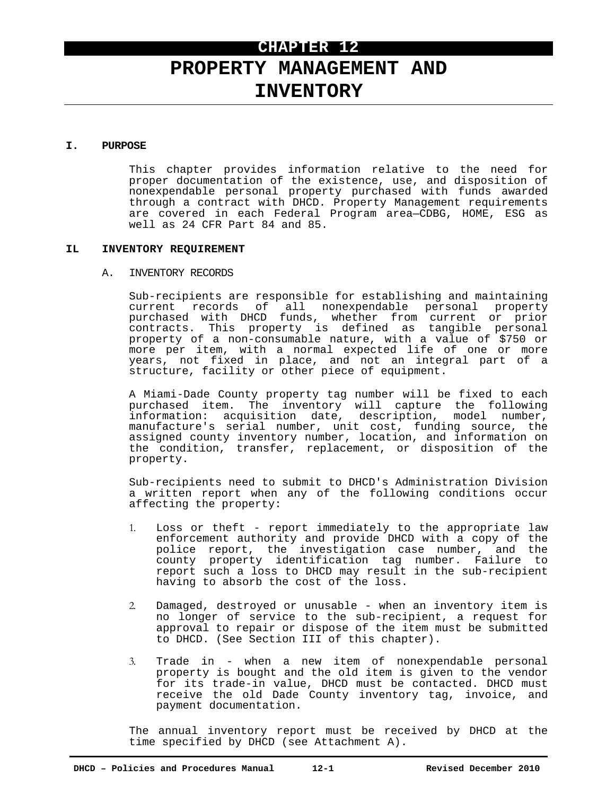# **CHAPTER 12**

# **PROPERTY MANAGEMENT AND INVENTORY**

#### **I. PURPOSE**

This chapter provides information relative to the need for proper documentation of the existence, use, and disposition of nonexpendable personal property purchased with funds awarded through a contract with DHCD. Property Management requirements are covered in each Federal Program area—CDBG, HOME, ESG as well as 24 CFR Part 84 and 85.

#### **IL INVENTORY REQUIREMENT**

#### A. INVENTORY RECORDS

Sub-recipients are responsible for establishing and maintaining current records of all nonexpendable personal property purchased with DHCD funds, whether from current or prior contracts. This property is defined as tangible personal property of a non-consumable nature, with a value of \$750 or more per item, with a normal expected life of one or more years, not fixed in place, and not an integral part of a structure, facility or other piece of equipment.

A Miami-Dade County property tag number will be fixed to each purchased item. The inventory will capture the following information: acquisition date, description, model number, manufacture's serial number, unit cost, funding source, the assigned county inventory number, location, and information on the condition, transfer, replacement, or disposition of the property.

Sub-recipients need to submit to DHCD's Administration Division a written report when any of the following conditions occur affecting the property:

- 1. Loss or theft report immediately to the appropriate law enforcement authority and provide DHCD with a copy of the police report, the investigation case number, and the county property identification tag number. Failure to report such a loss to DHCD may result in the sub-recipient having to absorb the cost of the loss.
- 2. Damaged, destroyed or unusable when an inventory item is no longer of service to the sub-recipient, a request for approval to repair or dispose of the item must be submitted to DHCD. (See Section III of this chapter).
- 3. Trade in when a new item of nonexpendable personal property is bought and the old item is given to the vendor for its trade-in value, DHCD must be contacted. DHCD must receive the old Dade County inventory tag, invoice, and payment documentation.

The annual inventory report must be received by DHCD at the time specified by DHCD (see Attachment A).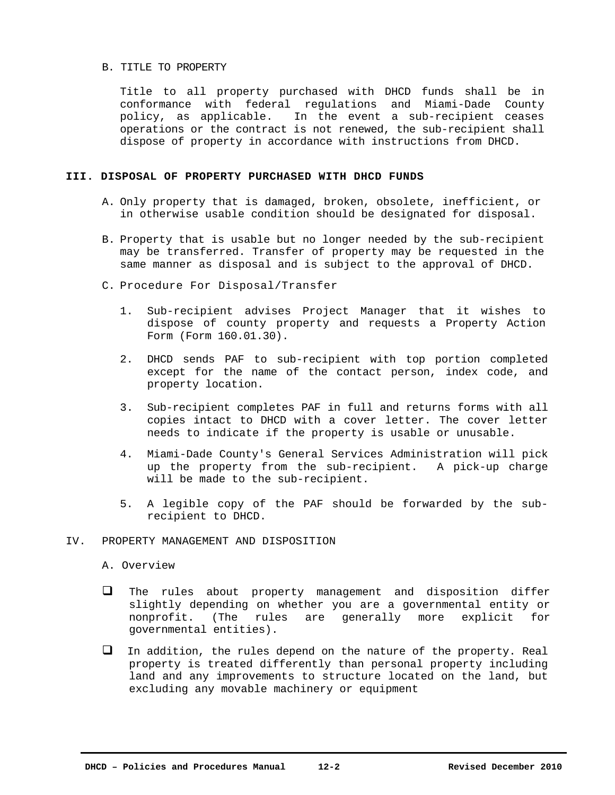#### B. TITLE TO PROPERTY

Title to all property purchased with DHCD funds shall be in conformance with federal regulations and Miami-Dade County policy, as applicable. In the event a sub-recipient ceases operations or the contract is not renewed, the sub-recipient shall dispose of property in accordance with instructions from DHCD.

### **III. DISPOSAL OF PROPERTY PURCHASED WITH DHCD FUNDS**

- A. Only property that is damaged, broken, obsolete, inefficient, or in otherwise usable condition should be designated for disposal.
- B. Property that is usable but no longer needed by the sub-recipient may be transferred. Transfer of property may be requested in the same manner as disposal and is subject to the approval of DHCD.
- C. Procedure For Disposal/Transfer
	- 1. Sub-recipient advises Project Manager that it wishes to dispose of county property and requests a Property Action Form (Form 160.01.30).
	- 2. DHCD sends PAF to sub-recipient with top portion completed except for the name of the contact person, index code, and property location.
	- 3. Sub-recipient completes PAF in full and returns forms with all copies intact to DHCD with a cover letter. The cover letter needs to indicate if the property is usable or unusable.
	- 4. Miami-Dade County's General Services Administration will pick up the property from the sub-recipient. A pick-up charge will be made to the sub-recipient.
	- 5. A legible copy of the PAF should be forwarded by the subrecipient to DHCD.

### IV. PROPERTY MANAGEMENT AND DISPOSITION

## A. Overview

- $\Box$  The rules about property management and disposition differ slightly depending on whether you are a governmental entity or nonprofit. (The rules are generally more explicit for governmental entities).
- $\Box$  In addition, the rules depend on the nature of the property. Real property is treated differently than personal property including land and any improvements to structure located on the land, but excluding any movable machinery or equipment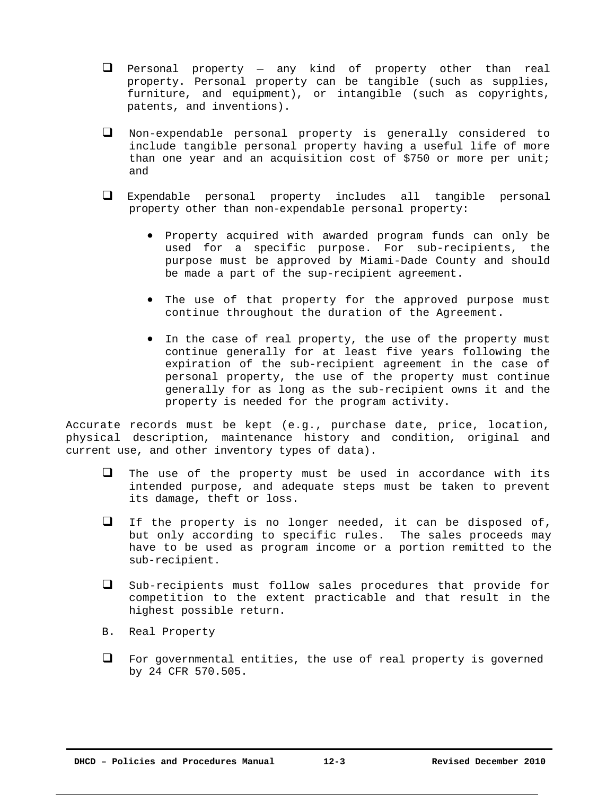- $\Box$  Personal property any kind of property other than real property. Personal property can be tangible (such as supplies, furniture, and equipment), or intangible (such as copyrights, patents, and inventions).
- Non-expendable personal property is generally considered to include tangible personal property having a useful life of more than one year and an acquisition cost of \$750 or more per unit; and
- Expendable personal property includes all tangible personal property other than non-expendable personal property:
	- Property acquired with awarded program funds can only be used for a specific purpose. For sub-recipients, the purpose must be approved by Miami-Dade County and should be made a part of the sup-recipient agreement.
	- The use of that property for the approved purpose must continue throughout the duration of the Agreement.
	- In the case of real property, the use of the property must continue generally for at least five years following the expiration of the sub-recipient agreement in the case of personal property, the use of the property must continue generally for as long as the sub-recipient owns it and the property is needed for the program activity.

Accurate records must be kept (e.g., purchase date, price, location, physical description, maintenance history and condition, original and current use, and other inventory types of data).

- $\Box$  The use of the property must be used in accordance with its intended purpose, and adequate steps must be taken to prevent its damage, theft or loss.
- $\Box$  If the property is no longer needed, it can be disposed of, but only according to specific rules. The sales proceeds may have to be used as program income or a portion remitted to the sub-recipient.
- $\square$  Sub-recipients must follow sales procedures that provide for competition to the extent practicable and that result in the highest possible return.
- B. Real Property
- $\Box$  For governmental entities, the use of real property is governed by 24 CFR 570.505.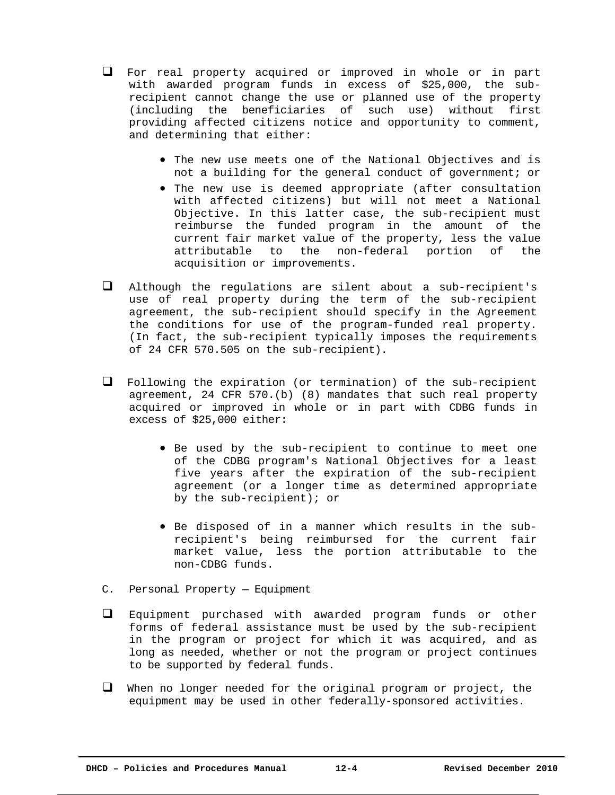- For real property acquired or improved in whole or in part with awarded program funds in excess of \$25,000, the subrecipient cannot change the use or planned use of the property (including the beneficiaries of such use) without first providing affected citizens notice and opportunity to comment, and determining that either:
	- The new use meets one of the National Objectives and is not a building for the general conduct of government; or
	- The new use is deemed appropriate (after consultation with affected citizens) but will not meet a National Objective. In this latter case, the sub-recipient must reimburse the funded program in the amount of the current fair market value of the property, less the value attributable to the non-federal portion of the acquisition or improvements.
- $\Box$  Although the regulations are silent about a sub-recipient's use of real property during the term of the sub-recipient agreement, the sub-recipient should specify in the Agreement the conditions for use of the program-funded real property. (In fact, the sub-recipient typically imposes the requirements of 24 CFR 570.505 on the sub-recipient).
- Following the expiration (or termination) of the sub-recipient agreement, 24 CFR 570.(b) (8) mandates that such real property acquired or improved in whole or in part with CDBG funds in excess of \$25,000 either:
	- Be used by the sub-recipient to continue to meet one of the CDBG program's National Objectives for a least five years after the expiration of the sub-recipient agreement (or a longer time as determined appropriate by the sub-recipient); or
	- Be disposed of in a manner which results in the subrecipient's being reimbursed for the current fair market value, less the portion attributable to the non-CDBG funds.
- C. Personal Property Equipment
- Equipment purchased with awarded program funds or other forms of federal assistance must be used by the sub-recipient in the program or project for which it was acquired, and as long as needed, whether or not the program or project continues to be supported by federal funds.
- $\Box$  When no longer needed for the original program or project, the equipment may be used in other federally-sponsored activities.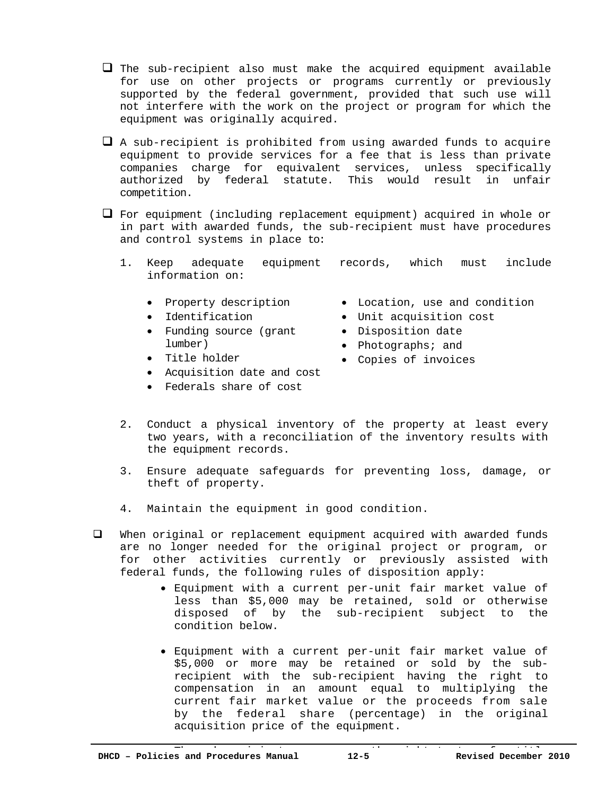$\Box$  The sub-recipient also must make the acquired equipment available for use on other projects or programs currently or previously supported by the federal government, provided that such use will not interfere with the work on the project or program for which the equipment was originally acquired.

 $\Box$  A sub-recipient is prohibited from using awarded funds to acquire equipment to provide services for a fee that is less than private companies charge for equivalent services, unless specifically authorized by federal statute. This would result in unfair competition.

 $\Box$  For equipment (including replacement equipment) acquired in whole or in part with awarded funds, the sub-recipient must have procedures and control systems in place to:

- 1. Keep adequate equipment records, which must include information on:
	- Property description
	- Identification

Title holder

- Funding source (grant lumber)
- Location, use and condition
- Unit acquisition cost
- Disposition date
- Photographs; and
- Copies of invoices
- Acquisition date and cost
- Federals share of cost
- 2. Conduct a physical inventory of the property at least every two years, with a reconciliation of the inventory results with the equipment records.
- 3. Ensure adequate safeguards for preventing loss, damage, or theft of property.
- 4. Maintain the equipment in good condition.
- When original or replacement equipment acquired with awarded funds are no longer needed for the original project or program, or for other activities currently or previously assisted with federal funds, the following rules of disposition apply:
	- Equipment with a current per-unit fair market value of less than \$5,000 may be retained, sold or otherwise disposed of by the sub-recipient subject to the condition below.
	- Equipment with a current per-unit fair market value of \$5,000 or more may be retained or sold by the subrecipient with the sub-recipient having the right to compensation in an amount equal to multiplying the current fair market value or the proceeds from sale by the federal share (percentage) in the original acquisition price of the equipment.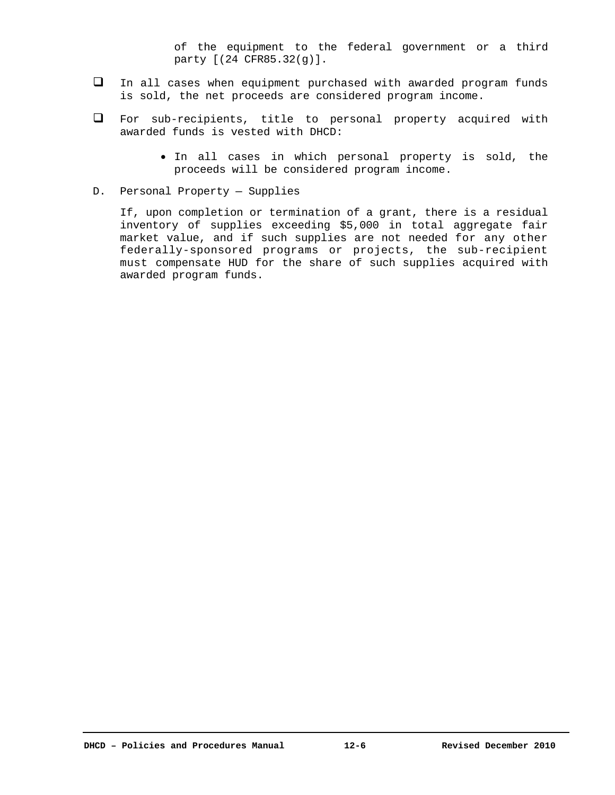of the equipment to the federal government or a third party [(24 CFR85.32(g)].

- In all cases when equipment purchased with awarded program funds is sold, the net proceeds are considered program income.
- For sub-recipients, title to personal property acquired with awarded funds is vested with DHCD:
	- $\bullet$  In all cases in which personal property is sold, the proceeds will be considered program income.
- D. Personal Property Supplies

If, upon completion or termination of a grant, there is a residual inventory of supplies exceeding \$5,000 in total aggregate fair market value, and if such supplies are not needed for any other federally-sponsored programs or projects, the sub-recipient must compensate HUD for the share of such supplies acquired with awarded program funds.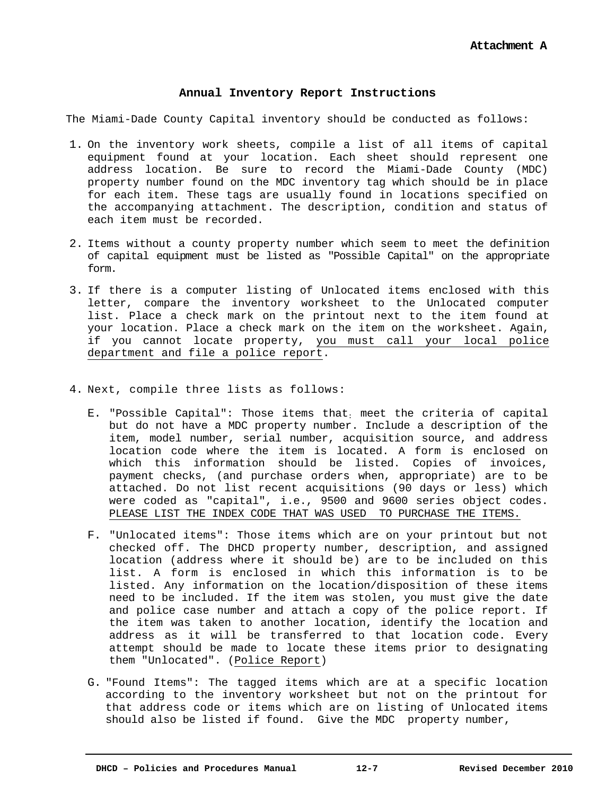# **Annual Inventory Report Instructions**

The Miami-Dade County Capital inventory should be conducted as follows:

- 1. On the inventory work sheets, compile a list of all items of capital equipment found at your location. Each sheet should represent one address location. Be sure to record the Miami-Dade County (MDC) property number found on the MDC inventory tag which should be in place for each item. These tags are usually found in locations specified on the accompanying attachment. The description, condition and status of each item must be recorded.
- 2. Items without a county property number which seem to meet the definition of capital equipment must be listed as "Possible Capital" on the appropriate form.
- 3. If there is a computer listing of Unlocated items enclosed with this letter, compare the inventory worksheet to the Unlocated computer list. Place a check mark on the printout next to the item found at your location. Place a check mark on the item on the worksheet. Again, if you cannot locate property, you must call your local police department and file a police report.
- 4. Next, compile three lists as follows:
	- E. "Possible Capital": Those items that: meet the criteria of capital but do not have a MDC property number. Include a description of the item, model number, serial number, acquisition source, and address location code where the item is located. A form is enclosed on which this information should be listed. Copies of invoices, payment checks, (and purchase orders when, appropriate) are to be attached. Do not list recent acquisitions (90 days or less) which were coded as "capital", i.e., 9500 and 9600 series object codes. PLEASE LIST THE INDEX CODE THAT WAS USED TO PURCHASE THE ITEMS.
	- F. "Unlocated items": Those items which are on your printout but not checked off. The DHCD property number, description, and assigned location (address where it should be) are to be included on this list. A form is enclosed in which this information is to be listed. Any information on the location/disposition of these items need to be included. If the item was stolen, you must give the date and police case number and attach a copy of the police report. If the item was taken to another location, identify the location and address as it will be transferred to that location code. Every attempt should be made to locate these items prior to designating them "Unlocated". (Police Report)
	- G. "Found Items": The tagged items which are at a specific location according to the inventory worksheet but not on the printout for that address code or items which are on listing of Unlocated items should also be listed if found. Give the MDC property number,